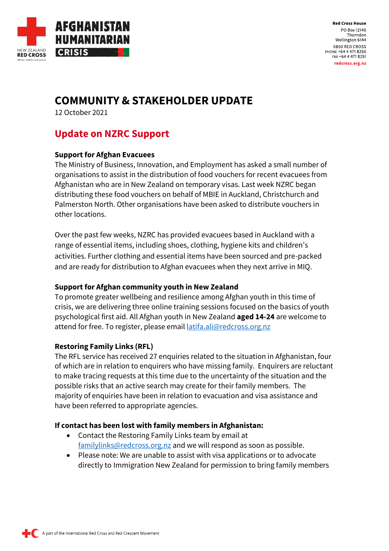

**Red Cross House** PO Box 12140 Thorndon Wellington 6144 0800 RED CROSS PHONE +64 4 471 8250 FAX +64 4 471 8251 redcross.org.nz

# **COMMUNITY & STAKEHOLDER UPDATE**

12 October 2021

## **Update on NZRC Support**

## **Support for Afghan Evacuees**

The Ministry of Business, Innovation, and Employment has asked a small number of organisations to assist in the distribution of food vouchers for recent evacuees from Afghanistan who are in New Zealand on temporary visas. Last week NZRC began distributing these food vouchers on behalf of MBIE in Auckland, Christchurch and Palmerston North. Other organisations have been asked to distribute vouchers in other locations.

Over the past few weeks, NZRC has provided evacuees based in Auckland with a range of essential items, including shoes, clothing, hygiene kits and children's activities. Further clothing and essential items have been sourced and pre-packed and are ready for distribution to Afghan evacuees when they next arrive in MIQ.

### **Support for Afghan community youth in New Zealand**

To promote greater wellbeing and resilience among Afghan youth in this time of crisis, we are delivering three online training sessions focused on the basics of youth psychological first aid. All Afghan youth in New Zealand **aged 14-24** are welcome to attend for free. To register, please email *latifa.ali@redcross.org.nz* 

## **Restoring Family Links (RFL)**

The RFL service has received 27 enquiries related to the situation in Afghanistan, four of which are in relation to enquirers who have missing family. Enquirers are reluctant to make tracing requests at this time due to the uncertainty of the situation and the possible risks that an active search may create for their family members. The majority of enquiries have been in relation to evacuation and visa assistance and have been referred to appropriate agencies.

### **If contact has been lost with family members in Afghanistan:**

- Contact the Restoring Family Links team by email at [familylinks@redcross.org.nz](mailto:familylinks@redcross.org.nz) and we will respond as soon as possible.
- Please note: We are unable to assist with visa applications or to advocate directly to Immigration New Zealand for permission to bring family members

A part of the International Red Cross and Red Crescent Movement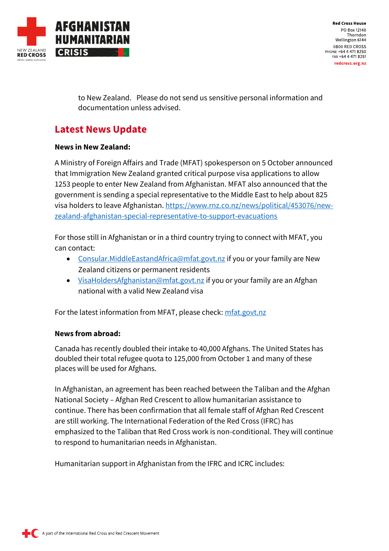

**Red Cross House** PO Box 12140 Thorndon Wellington 6144 0800 RED CROSS PHONE +64 4 471 8250 FAX +64 4 471 8251 redcross.org.nz

to New Zealand. Please do not send us sensitive personal information and documentation unless advised.

## **Latest News Update**

#### **News in New Zealand:**

A Ministry of Foreign Affairs and Trade (MFAT) spokesperson on 5 October announced that Immigration New Zealand granted critical purpose visa applications to allow 1253 people to enter New Zealand from Afghanistan. MFAT also announced that the government is sending a special representative to the Middle East to help about 825 visa holders to leave Afghanistan. [https://www.rnz.co.nz/news/political/453076/new](https://www.rnz.co.nz/news/political/453076/new-zealand-afghanistan-special-representative-to-support-evacuations)[zealand-afghanistan-special-representative-to-support-evacuations](https://www.rnz.co.nz/news/political/453076/new-zealand-afghanistan-special-representative-to-support-evacuations)

For those still in Afghanistan or in a third country trying to connect with MFAT, you can contact:

- [Consular.MiddleEastandAfrica@mfat.govt.nz](mailto:Consular.MiddleEastandAfrica@mfat.govt.nz) if you or your family are New Zealand citizens or permanent residents
- [VisaHoldersAfghanistan@mfat.govt.nz](mailto:VisaHoldersAfghanistan@mfat.govt.nz) if you or your family are an Afghan national with a valid New Zealand visa

For the latest information from MFAT, please check[: mfat.govt.nz](https://www.mfat.govt.nz/countries-and-regions/middle-east/iran/new-zealand-embassy-to-islamic-republic-of-iran/eligibility-for-afghan-nationals-to-be-considered-for-resettlement-in-new-zealand#bookmark2)

### **News from abroad:**

Canada has recently doubled their intake to 40,000 Afghans. The United States has doubled their total refugee quota to 125,000 from October 1 and many of these places will be used for Afghans.

In Afghanistan, an agreement has been reached between the Taliban and the Afghan National Society – Afghan Red Crescent to allow humanitarian assistance to continue. There has been confirmation that all female staff of Afghan Red Crescent are still working. The International Federation of the Red Cross (IFRC) has emphasized to the Taliban that Red Cross work is non-conditional. They will continue to respond to humanitarian needs in Afghanistan.

Humanitarian support in Afghanistan from the IFRC and ICRC includes: